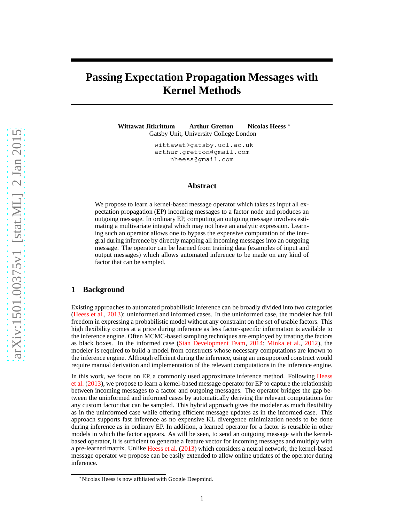# <span id="page-0-0"></span>**Passing Expectation Propagation Messages with Kernel Methods**

**Wittawat Jitkrittum Arthur Gretton Nicolas Heess** <sup>∗</sup> Gatsby Unit, University College London

> wittawat@gatsby.ucl.ac.uk arthur.gretton@gmail.com nheess@gmail.com

#### **Abstract**

We propose to learn a kernel-based message operator which takes as input all expectation propagation (EP) incoming messages to a factor node and produces an outgoing message. In ordinary EP, computing an outgoing message involves estimating a multivariate integral which may not have an analytic expression. Learning such an operator allows one to bypass the expensive computation of the integral during inference by directly mapping all incoming messages into an outgoing message. The operator can be learned from training data (examples of input and output messages) which allows automated inference to be made on any kind of factor that can be sampled.

# **1 Background**

Existing approaches to automated probabilistic inference can be broadly divided into two categories [\(Heess et al.,](#page-4-0) [2013](#page-4-0)): uninformed and informed cases. In the uninformed case, the modeler has full freedom in expressing a probabilistic model without any constraint on the set of usable factors. This high flexibility comes at a price during inference as less factor-specific information is available to the inference engine. Often MCMC-based sampling techniques are employed by treating the factors as black boxes. In the informed case [\(Stan Development Team](#page-4-1), [2014;](#page-4-1) [Minka et al.,](#page-4-2) [2012](#page-4-2)), the modeler is required to build a model from constructs whose necessary computations are known to the inference engine. Although efficient during the inference, using an unsupported construct would require manual derivation and implementation of the relevant computations in the inference engine.

In t[his work, we focus on EP, a commonly used approximate inference method. Following](#page-4-0) Heess et al. [\(2013](#page-4-0)), we propose to learn a kernel-based message operator for EP to capture the relationship between incoming messages to a factor and outgoing messages. The operator bridges the gap between the uninformed and informed cases by automatically deriving the relevant computations for any custom factor that can be sampled. This hybrid approach gives the modeler as much flexibility as in the uninformed case while offering efficient message updates as in the informed case. This approach supports fast inference as no expensive KL divergence minimization needs to be done during inference as in ordinary EP. In addition, a learned operator for a factor is reusable in other models in which the factor appears. As will be seen, to send an outgoing message with the kernelbased operator, it is sufficient to generate a feature vector for incoming messages and multiply with a pre-learned matrix. Unlike [Heess et al.](#page-4-0) [\(2013\)](#page-4-0) which considers a neural network, the kernel-based message operator we propose can be easily extended to allow online updates of the operator during inference.

<sup>∗</sup>Nicolas Heess is now affiliated with Google Deepmind.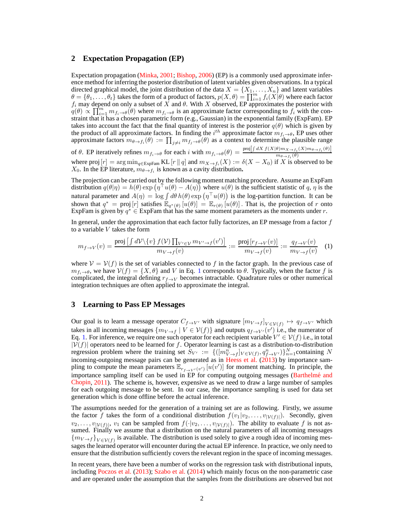### <span id="page-1-1"></span>**2 Expectation Propagation (EP)**

Expectation propagation [\(Minka,](#page-4-3) [2001;](#page-4-3) [Bishop](#page-4-4), [2006](#page-4-4)) (EP) is a commonly used approximate inference method for inferring the posterior distribution of latent variables given observations. In a typical directed graphical model, the joint distribution of the data  $X = \{X_1, \ldots, X_n\}$  and latent variables  $\theta = \{\theta_1, \ldots, \theta_t\}$  takes the form of a product of factors,  $p(X, \theta) = \prod_{i=1}^{m} f_i(X|\theta)$  where each factor  $f_i$  may depend on only a subset of X and  $\theta$ . With X observed, EP approximates the posterior with  $q(\theta) \propto \prod_{i=1}^m m_{f_i \to \theta}(\theta)$  where  $m_{f_i \to \theta}$  is an approximate factor corresponding to  $f_i$  with the constraint that it has a chosen parametric form (e.g., Gaussian) in the exponential family (ExpFam). EP takes into account the fact that the final quantity of interest is the posterior  $q(\theta)$  which is given by the product of all approximate factors. In finding the  $i^{th}$  approximate factor  $m_{f_i \to \theta}$ , EP uses other approximate factors  $m_{\theta \to f_i}(\theta) := \prod_{j \neq i} m_{f_j \to \theta}(\theta)$  as a context to determine the plausible range of  $\theta$ . EP iteratively refines  $m_{f_i \to \theta}$  for each i with  $m_{f_i \to \theta}(\theta) = \frac{\text{proj}[ \int dX f(X|\theta) m_{X \to f_i}(X) m_{\theta \to f_i}(\theta)]}{m_{\theta \to f_i}(\theta)}$  $m_{\theta \rightarrow f_i}(\theta)$ 

where proj  $[r] = \arg \min_{q \in \text{ExpFam}} \text{KL}[r || q]$  and  $m_{X \to f_i}(X) := \delta(X - X_0)$  if X is observed to be  $X_0$ . In the EP literature,  $m_{\theta \to f_i}$  is known as a cavity distribution.

The projection can be carried out by the following moment matching procedure. Assume an ExpFam distribution  $q(\theta|\eta) = h(\theta) \exp(\eta^\top u(\theta) - A(\eta))$  where  $u(\theta)$  is the sufficient statistic of q,  $\eta$  is the natural parameter and  $A(\eta) = \log \int d\theta \, h(\theta) \exp (\eta^\top u(\theta))$  is the log-partition function. It can be shown that  $q^* = \text{proj}[r]$  satisfies  $\mathbb{E}_{q^*(\theta)}[u(\theta)] = \mathbb{E}_{r(\theta)}[u(\theta)]$ . That is, the projection of r onto ExpFam is given by  $q^* \in$  ExpFam that has the same moment parameters as the moments under r.

In general, under the approximation that each factor fully factorizes, an EP message from a factor  $f$ to a variable  $V$  takes the form

<span id="page-1-0"></span>
$$
m_{f \to V}(v) = \frac{\text{proj}\left[\int d\mathcal{V} \setminus \{v\} f(\mathcal{V}) \prod_{V' \in \mathcal{V}} m_{V' \to f}(v')\right]}{m_{V \to f}(v)} := \frac{\text{proj}\left[r_{f \to V}(v)\right]}{m_{V \to f}(v)} := \frac{q_{f \to V}(v)}{m_{V \to f}(v)} \quad (1)
$$

where  $V = V(f)$  is the set of variables connected to f in the factor graph. In the previous case of  $m_{f_i\to\theta}$ , we have  $\mathcal{V}(f) = \{X, \theta\}$  and V in Eq. [1](#page-1-0) corresponds to  $\theta$ . Typically, when the factor f is complicated, the integral defining  $r_{f\rightarrow V}$  becomes intractable. Quadrature rules or other numerical integration techniques are often applied to approximate the integral.

## **3 Learning to Pass EP Messages**

Our goal is to learn a message operator  $C_{f\to V'}$  with signature  $[m_{V\to f}]_{V\in V(f)} \mapsto q_{f\to V'}$  which takes in all incoming messages  $\{m_{V\to f} \mid V \in V(f)\}\$  and outputs  $q_{f\to V'}(v')$  i.e., the numerator of Eq. [1.](#page-1-0) For inference, we require one such operator for each recipient variable  $V' \in V(f)$  i.e., in total  $|\mathcal{V}(f)|$  operators need to be learned for f. Operator learning is cast as a distribution-to-distribution regression problem where the training set  $S_{V'} := \{([m_{V \to f}^n]_{V \in V(f)}, q_{f \to V'}^n)\}_{n=1}^N$ containing N incoming-outgoing message pairs can be generated as in [Heess et al.](#page-4-0)  $(2013)$  by importance sampling to compute the mean parameters  $\mathbb{E}_{r_{f\to V'}(v')}[u(v')]$  for moment matching. In principle, the importance sampling itself can be used in EP for computing outgoing messages (Barthelmé and Chopin, [2011\)](#page-4-5). The scheme is, however, expensive as we need to draw a large number of samples for each outgoing message to be sent. In our case, the importance sampling is used for data set generation which is done offline before the actual inference.

The assumptions needed for the generation of a training set are as following. Firstly, we assume the factor f takes the form of a conditional distribution  $f(v_1|v_2,\ldots,v_{|\mathcal{V}(f)|})$ . Secondly, given  $v_2, \ldots, v_{|\mathcal{V}(f)|}$ ,  $v_1$  can be sampled from  $f(\cdot|v_2, \ldots, v_{|\mathcal{V}(f)|})$ . The ability to evaluate f is not assumed. Finally we assume that a distribution on the natural parameters of all incoming messages  ${m_{V\to f}}_{V\in V(f)}$  is available. The distribution is used solely to give a rough idea of incoming messages the learned operator will encounter during the actual EP inference. In practice, we only need to ensure that the distribution sufficiently covers the relevant region in the space of incoming messages.

In recent years, there have been a number of works on the regression task with distributional inputs, including [Poczos et al.](#page-4-6) [\(2013\)](#page-4-6); [Szabo et al.](#page-4-7) [\(2014](#page-4-7)) which mainly focus on the non-parametric case and are operated under the assumption that the samples from the distributions are observed but not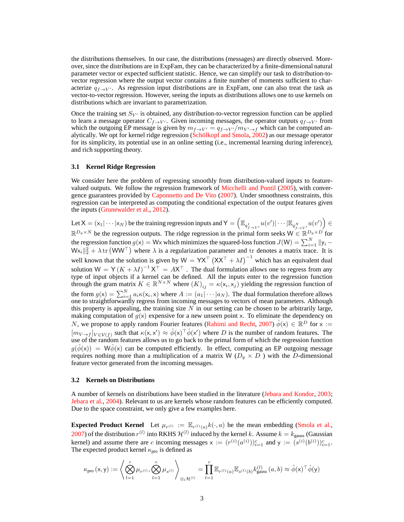<span id="page-2-0"></span>the distributions themselves. In our case, the distributions (messages) are directly observed. Moreover, since the distributions are in ExpFam, they can be characterized by a finite-dimensional natural parameter vector or expected sufficient statistic. Hence, we can simplify our task to distribution-tovector regression where the output vector contains a finite number of moments sufficient to characterize  $q_{f\rightarrow V'}$ . As regression input distributions are in ExpFam, one can also treat the task as vector-to-vector regression. However, seeing the inputs as distributions allows one to use kernels on distributions which are invariant to parametrization.

Once the training set  $S_{V'}$  is obtained, any distribution-to-vector regression function can be applied to learn a message operator  $C_{f\rightarrow V'}$ . Given incoming messages, the operator outputs  $q_{f\rightarrow V'}$  from which the outgoing EP message is given by  $m_{f\to V'} = q_{f\to V'}/m_{V'\to f}$  which can be computed an-alytically. We opt for kernel ridge regression (Schölkopf and Smola, [2002](#page-4-8)) as our message operator for its simplicity, its potential use in an online setting (i.e., incremental learning during inference), and rich supporting theory.

#### **3.1 Kernel Ridge Regression**

We consider here the problem of regressing smoothly from distribution-valued inputs to featurevalued outputs. We follow the regression framework of [Micchelli and Pontil](#page-4-9) [\(2005\)](#page-4-9), with convergence guarantees provided by [Caponnetto and De Vito](#page-4-10) [\(2007](#page-4-10)). Under smoothness constraints, this regression can be interpreted as computing the conditional expectation of the output features given the inputs [\(Grunewalder et al.](#page-4-11), [2012\)](#page-4-11).

Let  $X = (x_1 | \cdots | x_N)$  be the training regression inputs and  $Y = \left(\mathbb{E}_{q_{f \to V'}^1} u(v') | \cdots | \mathbb{E}_{q_{f \to V'}^N} u(v')\right) \in$  $\mathbb{R}^{D_y \times N}$  be the regression outputs. The ridge regression in the primal form seeks  $W \in \mathbb{R}^{D_y \times D'}$  for the regression function  $g(x) = Wx$  which minimizes the squared-loss function  $J(W) = \sum_{i=1}^{N} ||y_i - y_i||$  $Wx_i\|_2^2 + \lambda \text{ tr } (WW^{\top})$  where  $\lambda$  is a regularization parameter and tr denotes a matrix trace. It is well known that the solution is given by  $W = YX^{\top} (XX^{\top} + \lambda I)^{-1}$  which has an equivalent dual solution  $W = Y(K + \lambda I)^{-1} X^{T} = AX^{T}$ . The dual formulation allows one to regress from any type of input objects if a kernel can be defined. All the inputs enter to the regression function through the gram matrix  $K \in \mathbb{R}^{N \times N}$  where  $(K)_{ij} = \kappa(\mathsf{x}_i, \mathsf{x}_j)$  yielding the regression function of the form  $g(x) = \sum_{i=1}^{N} a_i \kappa(x_i, x)$  where  $A := (a_1 | \cdots | a_N)$ . The dual formulation therefore allows one to straightforwardly regress from incoming messages to vectors of mean parameters. Although this property is appealing, the training size  $N$  in our setting can be chosen to be arbitrarily large, making computation of  $g(x)$  expensive for a new unseen point x. To eliminate the dependency on N, we propose to apply random Fourier features [\(Rahimi and Recht,](#page-4-12) [2007\)](#page-4-12)  $\hat{\phi}(x) \in \mathbb{R}^D$  for  $x :=$  $[m_{V\to f}]_{V\in V(f)}$  such that  $\kappa(x, x') \approx \hat{\phi}(x)^\top \hat{\phi}(x')$  where D is the number of random features. The use of the random features allows us to go back to the primal form of which the regression function  $g(\hat{\phi}(x)) = W\hat{\phi}(x)$  can be computed efficiently. In effect, computing an EP outgoing message requires nothing more than a multiplication of a matrix W ( $D_y \times D$ ) with the D-dimensional feature vector generated from the incoming messages.

#### **3.2 Kernels on Distributions**

A number of kernels on distributions have been studied in the literature [\(Jebara and Kondor](#page-4-13), [2003](#page-4-13); [Jebara et al.,](#page-4-14) [2004\)](#page-4-14). Relevant to us are kernels whose random features can be efficiently computed. Due to the space constraint, we only give a few examples here.

**Expected Product Kernel** Let  $\mu_{r^{(l)}} := \mathbb{E}_{r^{(l)}(a)} k(\cdot, a)$  be the mean embedding [\(Smola et al.,](#page-4-15) [2007](#page-4-15)) of the distribution  $r^{(l)}$  into RKHS  $\mathcal{H}^{(l)}$  induced by the kernel k. Assume  $k = k_{\text{gauss}}$  (Gaussian kernel) and assume there are c incoming messages  $x := (r^{(i)}(a^{(i)}))_{i=1}^c$  and  $y := (s^{(i)}(b^{(i)}))_{i=1}^c$ . The expected product kernel  $\kappa_{\text{pro}}$  is defined as

$$
\kappa_{\text{pro}}\left(\mathbf{x},\mathbf{y}\right) := \left\langle \bigotimes_{l=1}^{c} \mu_{r^{(l)}}, \bigotimes_{l=1}^{c} \mu_{s^{(l)}} \right\rangle_{\otimes_{l} \mathcal{H}^{(l)}} = \prod_{l=1}^{c} \mathbb{E}_{r^{(l)}(a)} \mathbb{E}_{s^{(l)}(b)} k_{\text{gauss}}^{(l)}\left(a,b\right) \approx \hat{\phi}(\mathbf{x})^{\top} \hat{\phi}(\mathbf{y})
$$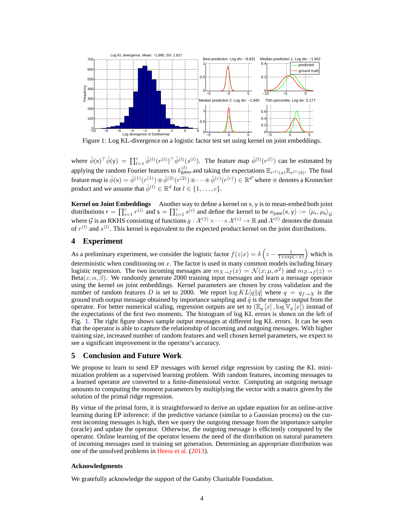<span id="page-3-1"></span>

<span id="page-3-0"></span>Figure 1: Log KL-divergence on a logistic factor test set using kernel on joint embeddings.

where  $\hat{\phi}(x)^\top \hat{\phi}(y) = \prod_{l=1}^c \hat{\phi}^{(l)}(r^{(l)})^\top \hat{\phi}^{(l)}(s^{(l)})$ . The feature map  $\hat{\phi}^{(l)}(r^{(l)})$  can be estimated by applying the random Fourier features to  $k_{\text{gauss}}^{(l)}$  and taking the expectations  $\mathbb{E}_{r^{(l)}(a)}\mathbb{E}_{s^{(l)}(b)}$ . The final feature map is  $\hat{\phi}(\mathsf{x}) = \hat{\phi}^{(1)}(r^{(1)}) \circledast \hat{\phi}^{(2)}(r^{(2)}) \circledast \cdots \circledast \hat{\phi}^{(c)}(r^{(c)}) \in \mathbb{R}^{d^c}$  where  $\circledast$  denotes a Kronecker product and we assume that  $\hat{\phi}^{(l)} \in \mathbb{R}^d$  for  $l \in \{1, \ldots, c\}$ .

**Kernel on Joint Embeddings** Another way to define a kernel on x, y is to mean-embed both joint distributions  $r = \prod_{i=1}^{c} r^{(i)}$  and  $s = \prod_{i=1}^{c} s^{(i)}$  and define the kernel to be  $\kappa_{\text{joint}}(x, y) := \langle \mu_r, \mu_s \rangle_g$ where G is an RKHS consisting of functions  $g: \mathcal{X}^{(1)} \times \cdots \times \mathcal{X}^{(c)} \to \mathbb{R}$  and  $\mathcal{X}^{(l)}$  denotes the domain of  $r^{(l)}$  and  $s^{(l)}$ . This kernel is equivalent to the expected product kernel on the joint distributions.

# **4 Experiment**

As a preliminary experiment, we consider the logistic factor  $f(z|x) = \delta\left(z - \frac{1}{1 + \exp(-x)}\right)$  which is deterministic when conditioning on  $x$ . The factor is used in many common models including binary logistic regression. The two incoming messages are  $m_{X\to f}(x) = \mathcal{N}(x; \mu, \sigma^2)$  and  $m_{Z\to f}(z) =$ Beta( $z; \alpha, \beta$ ). We randomly generate 2000 training input messages and learn a message operator using the kernel on joint embeddings. Kernel parameters are chosen by cross validation and the number of random features D is set to 2000. We report  $\log KL[q||\hat{q}]$  where  $q = q_{f\rightarrow X}$  is the ground truth output message obtained by importance sampling and  $\hat{q}$  is the message output from the operator. For better numerical scaling, regression outputs are set to  $(\mathbb{E}_q[x], \log \mathbb{V}_q[x])$  instead of the expectations of the first two moments. The histogram of log KL errors is shown on the left of Fig. [1.](#page-3-0) The right figure shows sample output messages at different log KL errors. It can be seen that the operator is able to capture the relationship of incoming and outgoing messages. With higher training size, increased number of random features and well chosen kernel parameters, we expect to see a significant improvement in the operator's accuracy.

# **5 Conclusion and Future Work**

We propose to learn to send EP messages with kernel ridge regression by casting the KL minimization problem as a supervised learning problem. With random features, incoming messages to a learned operator are converted to a finite-dimensional vector. Computing an outgoing message amounts to computing the moment parameters by multiplying the vector with a matrix given by the solution of the primal ridge regression.

By virtue of the primal form, it is straightforward to derive an update equation for an online-active learning during EP inference: if the predictive variance (similar to a Gaussian process) on the current incoming messages is high, then we query the outgoing message from the importance sampler (oracle) and update the operator. Otherwise, the outgoing message is efficiently computed by the operator. Online learning of the operator lessens the need of the distribution on natural parameters of incoming messages used in training set generation. Determining an appropriate distribution was one of the unsolved problems in [Heess et al.](#page-4-0) [\(2013](#page-4-0)).

#### **Acknowledgments**

We gratefully acknowledge the support of the Gatsby Charitable Foundation.